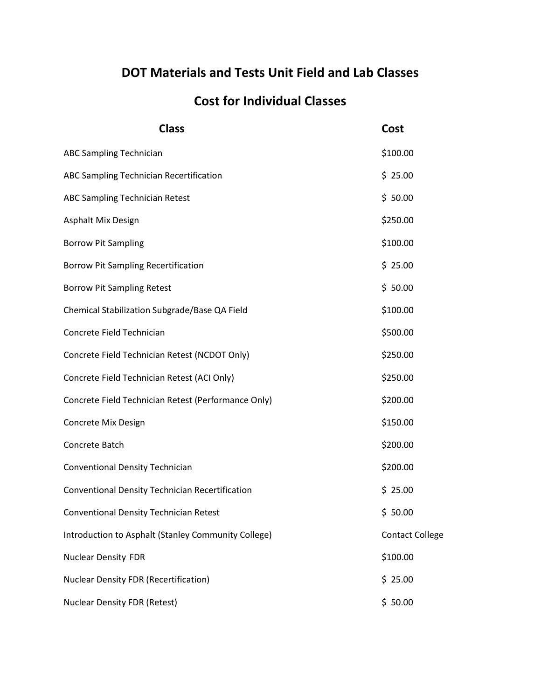## **DOT Materials and Tests Unit Field and Lab Classes**

## **Cost for Individual Classes**

| <b>Class</b>                                        | Cost                   |
|-----------------------------------------------------|------------------------|
| <b>ABC Sampling Technician</b>                      | \$100.00               |
| ABC Sampling Technician Recertification             | \$25.00                |
| <b>ABC Sampling Technician Retest</b>               | \$50.00                |
| Asphalt Mix Design                                  | \$250.00               |
| <b>Borrow Pit Sampling</b>                          | \$100.00               |
| <b>Borrow Pit Sampling Recertification</b>          | \$25.00                |
| <b>Borrow Pit Sampling Retest</b>                   | \$50.00                |
| Chemical Stabilization Subgrade/Base QA Field       | \$100.00               |
| Concrete Field Technician                           | \$500.00               |
| Concrete Field Technician Retest (NCDOT Only)       | \$250.00               |
| Concrete Field Technician Retest (ACI Only)         | \$250.00               |
| Concrete Field Technician Retest (Performance Only) | \$200.00               |
| Concrete Mix Design                                 | \$150.00               |
| Concrete Batch                                      | \$200.00               |
| Conventional Density Technician                     | \$200.00               |
| Conventional Density Technician Recertification     | \$25.00                |
| <b>Conventional Density Technician Retest</b>       | \$50.00                |
| Introduction to Asphalt (Stanley Community College) | <b>Contact College</b> |
| <b>Nuclear Density FDR</b>                          | \$100.00               |
| <b>Nuclear Density FDR (Recertification)</b>        | \$25.00                |
| <b>Nuclear Density FDR (Retest)</b>                 | \$50.00                |